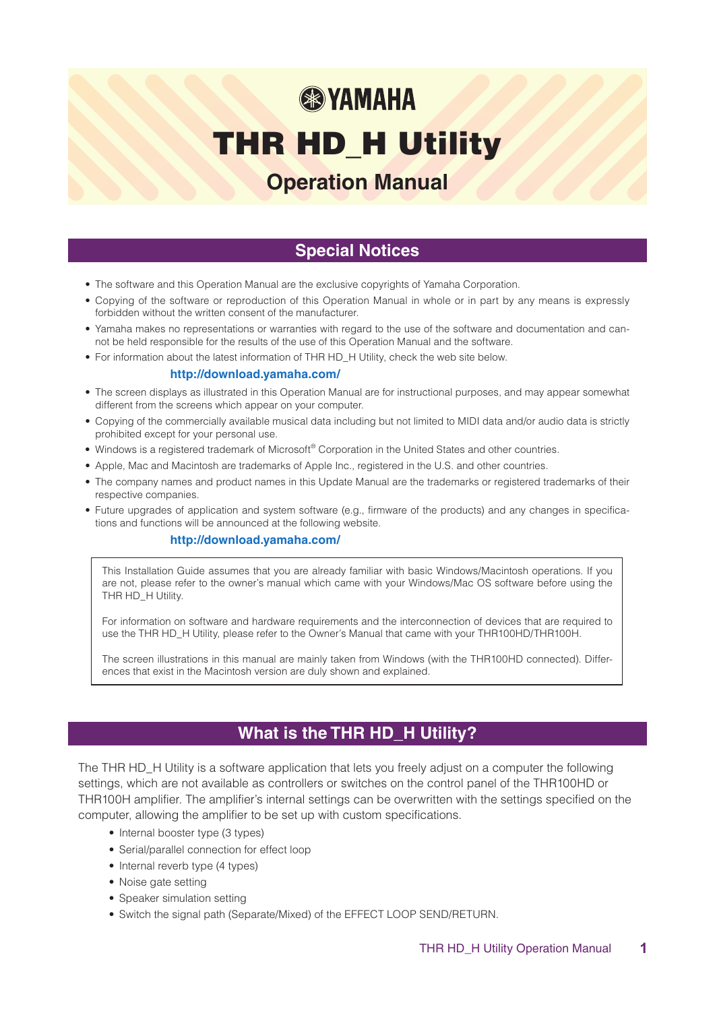# **® YAMAHA**

## THR HD\_H Utility

## **Operation Manual**

## **Special Notices**

- The software and this Operation Manual are the exclusive copyrights of Yamaha Corporation.
- Copying of the software or reproduction of this Operation Manual in whole or in part by any means is expressly forbidden without the written consent of the manufacturer.
- Yamaha makes no representations or warranties with regard to the use of the software and documentation and can-<br>not be held responsible for the results of the use of this Operation Manual and the software.
- For information about the latest information of THR HD\_H Utility, check the web site below.

#### **http://download.yamaha.com/**

- The screen displays as illustrated in this Operation Manual are for instructional purposes, and may appear somewhat different from the screens which appear on your computer.
- Copying of the commercially available musical data including but not limited to MIDI data and/or audio data is strictly prohibited except for your personal use.
- . Windows is a registered trademark of Microsoft® Corporation in the United States and other countries.
- . Apple, Mac and Macintosh are trademarks of Apple Inc., registered in the U.S. and other countries.
- The company names and product names in this Update Manual are the trademarks or registered trademarks of their respective companies.
- Future upgrades of application and system software (e.g., firmware of the products) and any changes in specifica-<br>tions and functions will be announced at the following website.

#### **http://download.yamaha.com/**

This Installation Guide assumes that you are already familiar with basic Windows/Macintosh operations. If you are not, please refer to the owner's manual which came with your Windows/Mac OS software before using the THR HD\_H Utility.

For information on software and hardware requirements and the interconnection of devices that are required to use the THR HD\_H Utility, please refer to the Owner's Manual that came with your THR 100HD/THR 100H.

The screen illustrations in this manual are mainly taken from Windows (with the THR100HD connected). Differ-<br>ences that exist in the Macintosh version are duly shown and explained.

## **What is the THR HD\_H Utility?**

The THR HD\_H Utility is a software application that lets you freely adjust on a computer the following settings, which are not available as controllers or switches on the control panel of the THR100HD or THR 100H amplifier. The amplifier's internal settings can be overwritten with the settings specified on the computer, allowing the amplifier to be set up with custom specifications.

- Internal booster type (3 types)
- Serial/parallel connection for effect loop
- Internal reverb type (4 types)
- Noise gate setting
- Speaker simulation setting
- Switch the signal path (Separate/Mixed) of the EFFECT LOOP SEND/RETURN.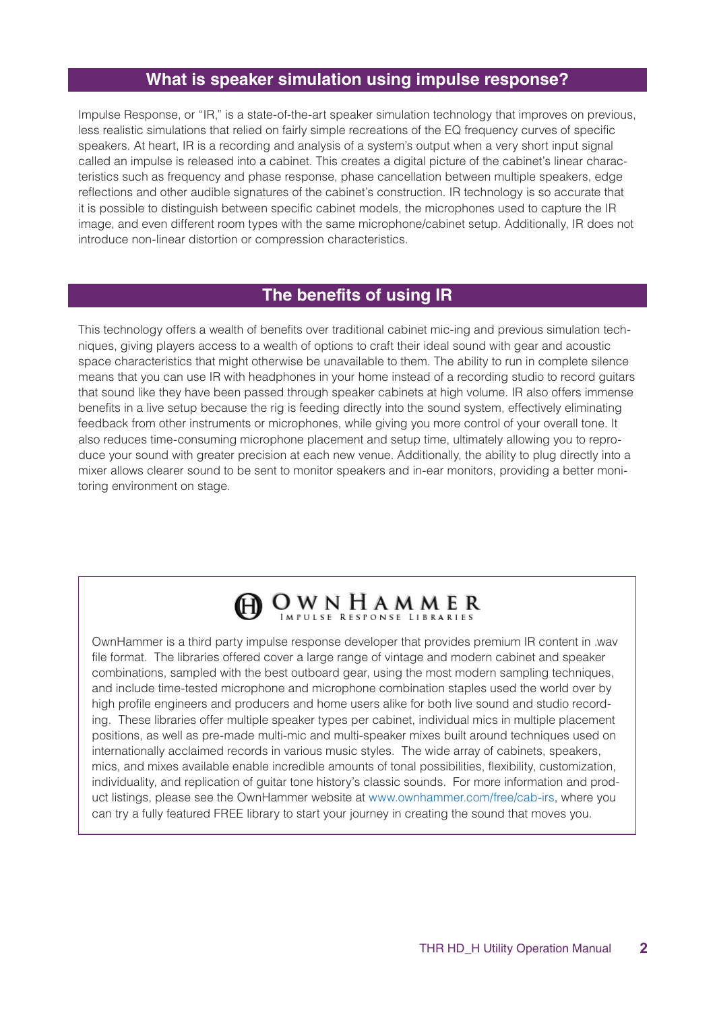## **What is speaker simulation using impulse response?**

Impulse Response, or "IR," is a state-of-the-art speaker simulation technology that improves on previous, less realistic simulations that relied on fairly simple recreations of the EQ frequency curves of specific speakers. At heart, IR is a recording and analysis of a system's output when a very short input signal teristics such as frequency and phase response, phase cancellation between multiple speakers, edge called an impulse is released into a cabinet. This creates a digital picture of the cabinet's linear characreflections and other audible signatures of the cabinet's construction. IR technology is so accurate that it is possible to distinguish between specific cabinet models, the microphones used to capture the IR image, and even different room types with the same microphone/cabinet setup. Additionally, IR does not introduce non-linear distortion or compression characteristics.

## **The benefits of using IR**

niques, giving players access to a wealth of options to craft their ideal sound with gear and acoustic This technology offers a wealth of benefits over traditional cabinet mic-ing and previous simulation techspace characteristics that might otherwise be unavailable to them. The ability to run in complete silence means that you can use IR with headphones in your home instead of a recording studio to record quitars that sound like they have been passed through speaker cabinets at high volume. IR also offers immense benefits in a live setup because the rig is feeding directly into the sound system, effectively eliminating feedback from other instruments or microphones, while giving you more control of your overall tone. It also reduces time-consuming microphone placement and setup time, ultimately allowing you to repro-<br>duce your sound with greater precision at each new venue. Additionally, the ability to plug directly into a mixer allows clearer sound to be sent to monitor speakers and in-ear monitors, providing a better moni-<br>toring environment on stage.

## OWNHAMMER

OwnHammer is a third party impulse response developer that provides premium IR content in .wav file format. The libraries offered cover a large range of vintage and modern cabinet and speaker combinations, sampled with the best outboard gear, using the most modern sampling techniques, and include time-tested microphone and microphone combination staples used the world over by ing. These libraries offer multiple speaker types per cabinet, individual mics in multiple placement high profile engineers and producers and home users alike for both live sound and studio recordpositions, as well as pre-made multi-mic and multi-speaker mixes built around techniques used on internationally acclaimed records in various music styles. The wide array of cabinets, speakers, mics, and mixes available enable incredible amounts of tonal possibilities, flexibility, customization, uct listings, please see the OwnHammer website at www.ownhammer.com/free/cab-irs, where you individuality, and replication of quitar tone history's classic sounds. For more information and prodcan try a fully featured FREE library to start your journey in creating the sound that moves you.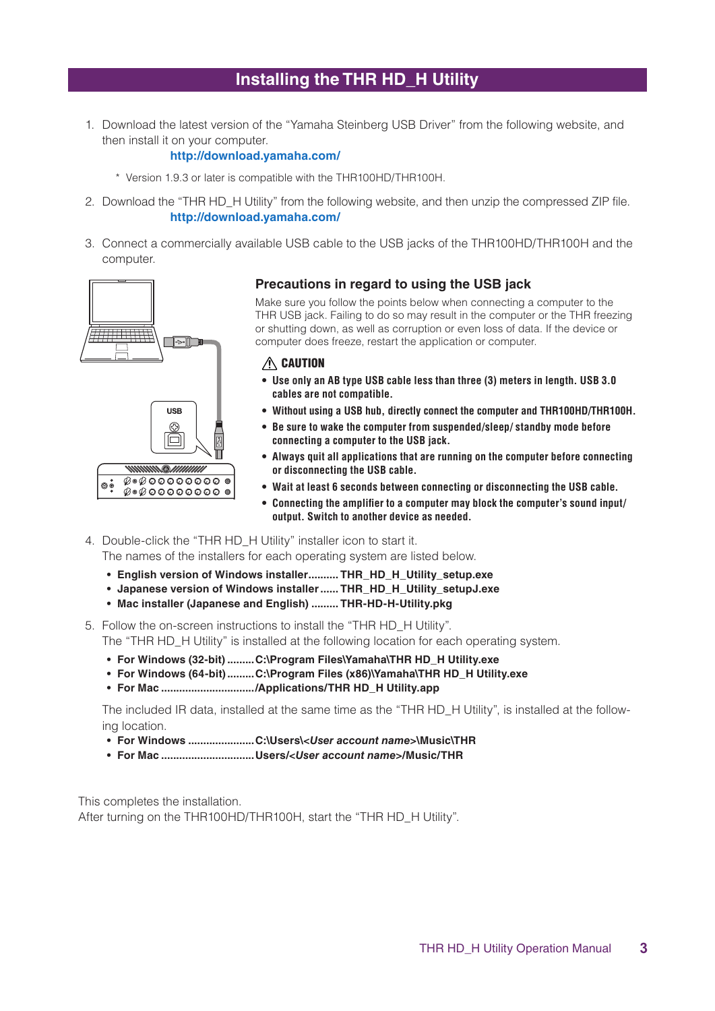## **Installing the THR HD\_H Utility**

1. Download the latest version of the "Yamaha Steinberg USB Driver" from the following website, and then install it on your computer.

#### **http://download.yamaha.com/**

- \* Version 1.9.3 or later is compatible with the THR100HD/THR100H.
- 2. Download the "THR HD H Utility" from the following website, and then unzip the compressed ZIP file. **http://download.yamaha.com/**
- 3. Connect a commercially available USB cable to the USB jacks of the THR100HD/THR100H and the .computer



#### **Precautions in regard to using the USB jack**

Make sure you follow the points below when connecting a computer to the THR USB jack. Failing to do so may result in the computer or the THR freezing or shutting down, as well as corruption or even loss of data. If the device or computer does freeze, restart the application or computer.

#### $\triangle$  CAUTION

- $\bullet$  Use only an AB type USB cable less than three (3) meters in length, USB 3.0 **.compatible not are cables**
- $\bullet$  Without using a USB hub, directly connect the computer and THR100HD/THR100H.
- $\bullet$  Be sure to wake the computer from suspended/sleep/ standby mode before **.jack USB the to computer a connecting**
- **•** Always quit all applications that are running on the computer before connecting **.cable USB the disconnecting or**
- $\bullet$  Wait at least 6 seconds between connecting or disconnecting the USB cable.
- $\bullet$  Connecting the amplifier to a computer may block the computer's sound input/ **autout.** Switch to another device as needed.
- 4. Double-click the "THR HD\_H Utility" installer icon to start it. The names of the installers for each operating system are listed below.
	- English version of Windows installer.......... THR HD H Utility setup.exe
	- Japanese version of Windows installer ...... THR HD H Utility setupJ.exe
	- Mac installer (Japanese and English) ......... THR-HD-H-Utility.pkg
- 5. Follow the on-screen instructions to install the "THR HD H Utility". The "THR HD\_H Utility" is installed at the following location for each operating system.
	- For Windows (32-bit) .........C:\Program Files\Yamaha\THR HD\_H Utility.exe
	- **For Windows (64-bit) .........C:**\Program Files (x86)\Yamaha\THR HD H Utility.exe
	- For Mac ................................/ Applications/THR HD\_H Utility.app

The included IR data, installed at the same time as the "THR HD\_H Utility", is installed at the follow-<br>ing location.

- For Windows ..........................C:\Users\<User account name>\Music\THR
- **THR/Music/***>name account User<***/Users............................... Mac For•**

This completes the installation. After turning on the THR 100HD/THR 100H, start the "THR HD\_H Utility".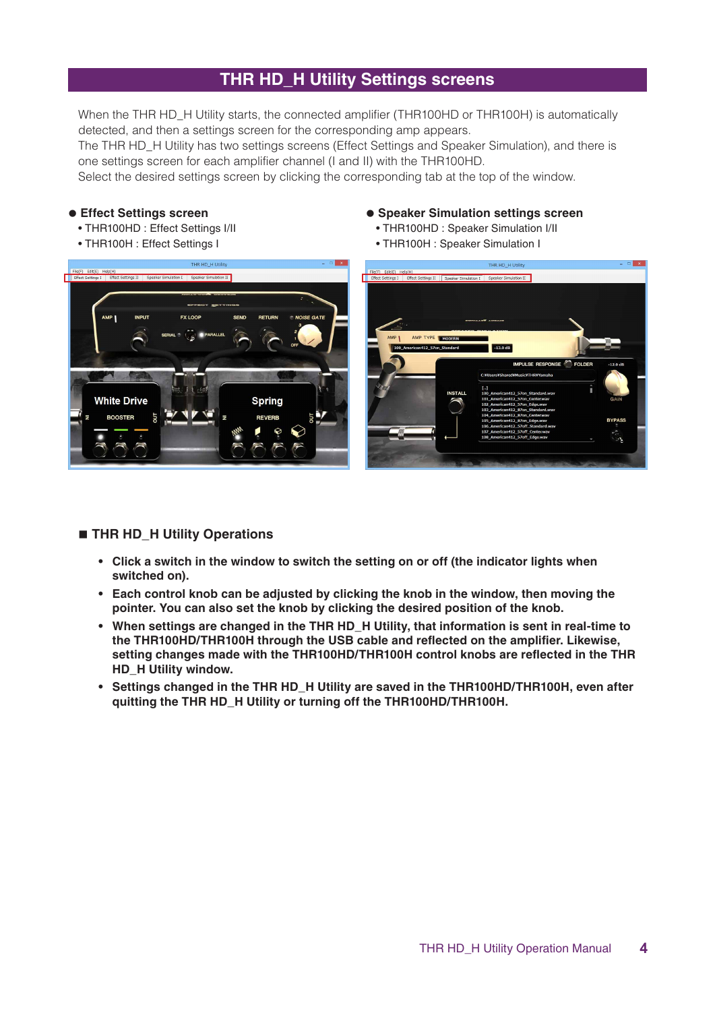## **THR HD\_H Utility Settings screens**

When the THR HD H Utility starts, the connected amplifier (THR100HD or THR100H) is automatically detected, and then a settings screen for the corresponding amp appears.

The THR HD\_H Utility has two settings screens (Effect Settings and Speaker Simulation), and there is one settings screen for each amplifier channel (I and II) with the THR100HD.

Select the desired settings screen by clicking the corresponding tab at the top of the window.

#### **e** Effect Settings screen

- THR100HD : Effect Settings I/II
- THR100H : Effect Settings I
- **Speaker Simulation settings screen** 
	- THR100HD : Speaker Simulation I/II
	- THR100H : Speaker Simulation I



#### $\blacksquare$  **THR HD H Utility Operations**

- **•** Click a switch in the window to switch the setting on or off (the indicator lights when switched on).
- **Each control knob can be adjusted by clicking the knob in the window, then moving the pointer.** You can also set the knob by clicking the desired position of the knob.
- **•** When settings are changed in the THR HD H Utility, that information is sent in real-time to **the THR100HD/THR100H through the USB cable and reflected on the amplifier. Likewise,** setting changes made with the THR100HD/THR100H control knobs are reflected in the THR **HD** H Utility window.
- **•** Settings changed in the THR HD H Utility are saved in the THR100HD/THR100H, even after quitting the THR HD\_H Utility or turning off the THR100HD/THR100H.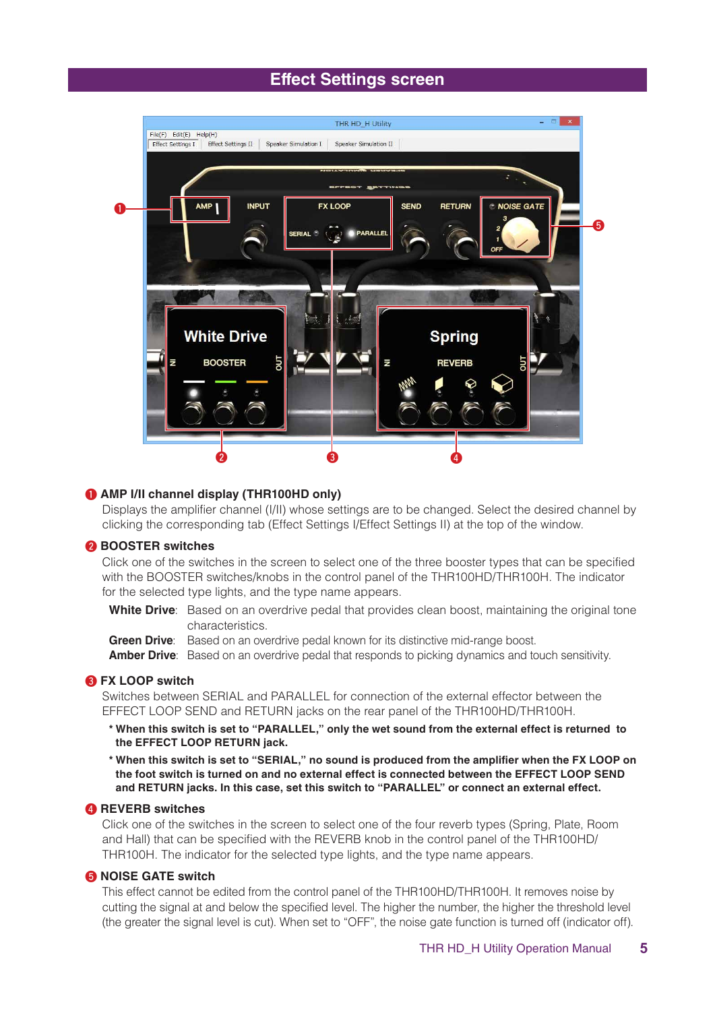## **Effect Settings screen**



#### **(a)** AMP I/II channel display (THR100HD only)

Displays the amplifier channel (I/II) whose settings are to be changed. Select the desired channel by clicking the corresponding tab (Effect Settings I/Effect Settings II) at the top of the window.

#### **a** BOOSTER switches

Click one of the switches in the screen to select one of the three booster types that can be specified with the BOOSTER switches/knobs in the control panel of the THR100HD/THR100H. The indicator for the selected type lights, and the type name appears.

White Drive: Based on an overdrive pedal that provides clean boost, maintaining the original tone .characteristics

Green Drive: Based on an overdrive pedal known for its distinctive mid-range boost.

**Amber Drive**: Based on an overdrive pedal that responds to picking dynamics and touch sensitivity.

#### **8** FX LOOP switch

Switches between SERIAL and PARALLEL for connection of the external effector between the EFFECT LOOP SEND and RETURN jacks on the rear panel of the THR100HD/THR100H.

- $*$  When this switch is set to "PARALLEL," only the wet sound from the external effect is returned to **the EFFECT LOOP RETURN jack.**
- \* When this switch is set to "SERIAL," no sound is produced from the amplifier when the FX LOOP on **SEND LOOP EFFECT the between connected is effect external no and on turned is switch foot the .effect external an connect or" PARALLEL "to switch this set ,case this In .jacks RETURN and**

#### **4** REVERB switches

Click one of the switches in the screen to select one of the four reverb types (Spring, Plate, Room and Hall) that can be specified with the REVERB knob in the control panel of the THR100HD/ THR100H. The indicator for the selected type lights, and the type name appears.

#### **G** NOISE GATE switch

This effect cannot be edited from the control panel of the THR100HD/THR100H. It removes noise by cutting the signal at and below the specified level. The higher the number, the higher the threshold level (the greater the signal level is cut). When set to "OFF", the noise gate function is turned off (indicator off).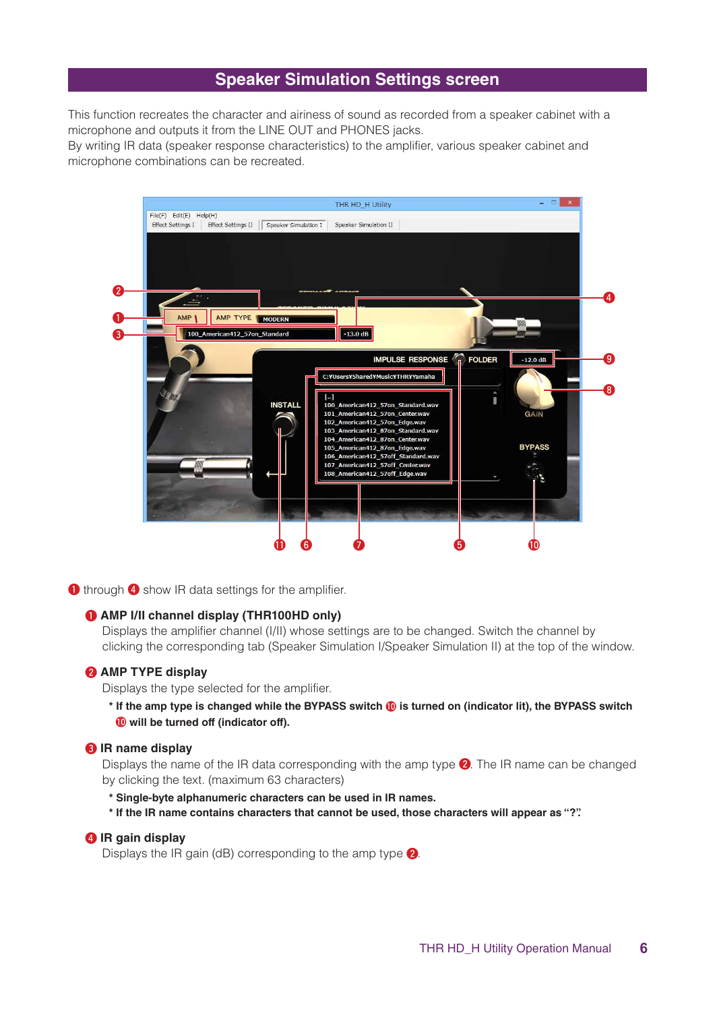## **Speaker Simulation Settings screen**

This function recreates the character and airiness of sound as recorded from a speaker cabinet with a microphone and outputs it from the LINE OUT and PHONES jacks.

By writing IR data (speaker response characteristics) to the amplifier, various speaker cabinet and microphone combinations can be recreated.



**1** through **4** show IR data settings for the amplifier.

#### **(d** AMP I/II channel display (THR100HD only)

Displays the amplifier channel (I/II) whose settings are to be changed. Switch the channel by clicking the corresponding tab (Speaker Simulation I/Speaker Simulation II) at the top of the window.

#### **@** AMP TYPE display

Displays the type selected for the amplifier.

\* If the amp type is changed while the BYPASS switch **10** is turned on (indicator lit), the BYPASS switch **.(off indicator (off turned be will**0!

#### **a** IR name display

Displays the name of the IR data corresponding with the amp type  $\bigcirc$ . The IR name can be changed by clicking the text. (maximum 63 characters)

- \* Single-byte alphanumeric characters can be used in IR names.
- **."?" as appear will characters those ,used be cannot that characters contains name IR the If\***

#### **4** IR gain display

Displays the IR gain (dB) corresponding to the amp type  $\bigcirc$ .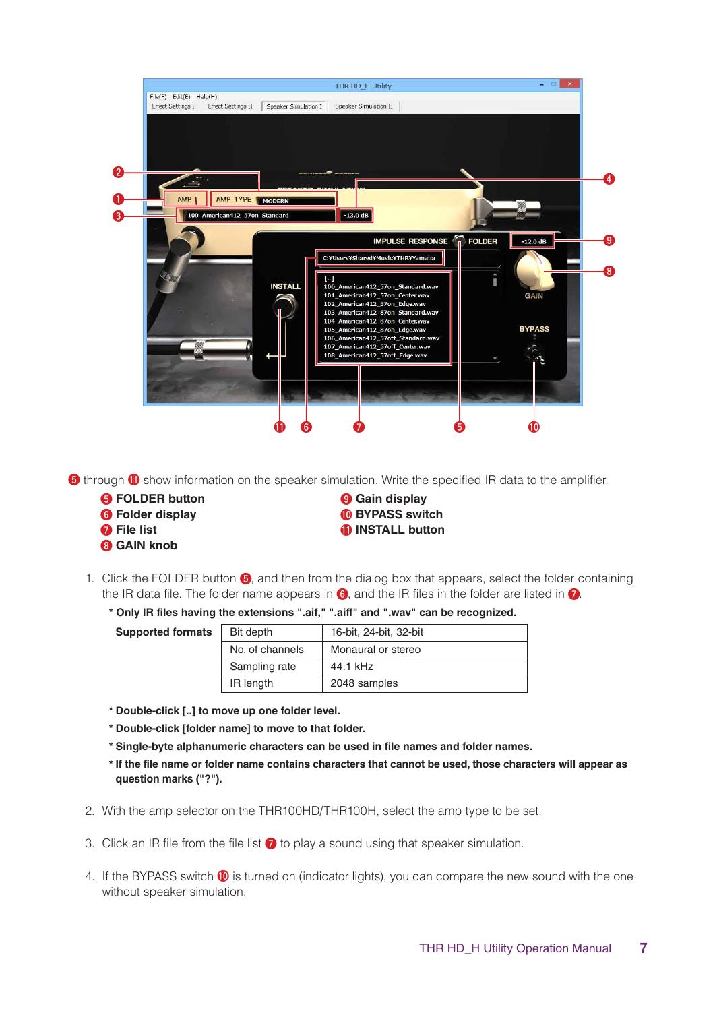

**a** through **1** show information on the speaker simulation. Write the specified IR data to the amplifier.

- **display Gain** o **button FOLDER** t
- 
- 
- **8** GAIN knob
- **6** Folder display Folder Folder Folder Folder Folder Folder Folder Folder Folder Folder
- **b in ilist button button c il il il il il il il il il il il il il il il il il il il il il il il il il i**
- 1. Click the FOLDER button  $\bigodot$ , and then from the dialog box that appears, select the folder containing the IR data file. The folder name appears in  $\odot$ , and the IR files in the folder are listed in  $\odot$ .
	- **<sup>\*</sup> Only IR files having the extensions ".aif," ".aiff" and ".wav" can be recognized.**

| <b>Supported formats</b> | Bit depth       | 16-bit, 24-bit, 32-bit |
|--------------------------|-----------------|------------------------|
|                          | No. of channels | Monaural or stereo     |
|                          | Sampling rate   | 44.1 kHz               |
|                          | IR length       | 2048 samples           |

- $*$  Double-click [..] to move up one folder level.
- $*$  Double-click [folder name] to move to that folder.
- \* Single-byte alphanumeric characters can be used in file names and folder names.
- \* If the file name or folder name contains characters that cannot be used, those characters will appear as **.("?") marks question**
- 2. With the amp selector on the THR100HD/THR100H, select the amp type to be set.
- 3. Click an IR file from the file list  $\Omega$  to play a sound using that speaker simulation.
- 4. If the BYPASS switch  $\bf{0}$  is turned on (indicator lights), you can compare the new sound with the one without speaker simulation.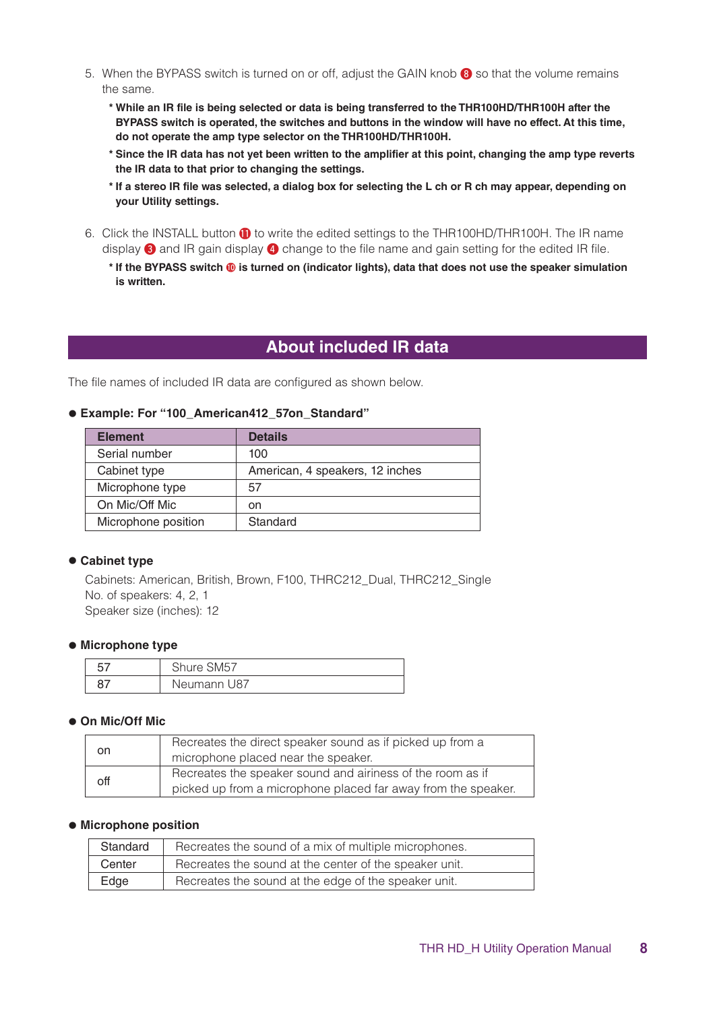- 5. When the BYPASS switch is turned on or off, adjust the GAIN knob <sup>3</sup> so that the volume remains the same.
	- \* While an IR file is being selected or data is being transferred to the THR100HD/THR100H after the BYPASS switch is operated, the switches and buttons in the window will have no effect. At this time, do not operate the amp type selector on the THR100HD/THR100H.
	- \* Since the IR data has not yet been written to the amplifier at this point, changing the amp type reverts the IR data to that prior to changing the settings.
	- \* If a stereo IR file was selected, a dialog box for selecting the L ch or R ch may appear, depending on **your Utility settings.**
- 6. Click the INSTALL button **1** to write the edited settings to the THR100HD/THR100H. The IR name display  $\bigcirc$  and IR gain display  $\bigcirc$  change to the file name and gain setting for the edited IR file.
	- **\*** If the BYPASS switch  $\textcircled{\textbf{0}}$  is turned on (indicator lights), data that does not use the speaker simulation **is** written.

## **About included IR data**

The file names of included IR data are configured as shown below.

#### $\bullet$  Example: For "100\_American412\_57on\_Standard"

| <b>Element</b>      | <b>Details</b>                  |
|---------------------|---------------------------------|
| Serial number       | 100                             |
| Cabinet type        | American, 4 speakers, 12 inches |
| Microphone type     | 57                              |
| On Mic/Off Mic      | on                              |
| Microphone position | Standard                        |

#### **e** Cabinet type

Cabinets: American, British, Brown, F100, THRC212\_Dual, THRC212\_Single No. of speakers: 4, 2, 1 Speaker size (inches): 12

#### **• Microphone type**

| $-$ | nure SM57   |
|-----|-------------|
|     | Neumann U87 |

#### $\bullet$  **On Mic/Off Mic**

| on  | Recreates the direct speaker sound as if picked up from a     |
|-----|---------------------------------------------------------------|
|     | microphone placed near the speaker.                           |
| off | Recreates the speaker sound and airiness of the room as if    |
|     | picked up from a microphone placed far away from the speaker. |

#### $\bullet$  **Microphone position**

| Standard | Recreates the sound of a mix of multiple microphones.  |
|----------|--------------------------------------------------------|
| Center   | Recreates the sound at the center of the speaker unit. |
| Edge     | Recreates the sound at the edge of the speaker unit.   |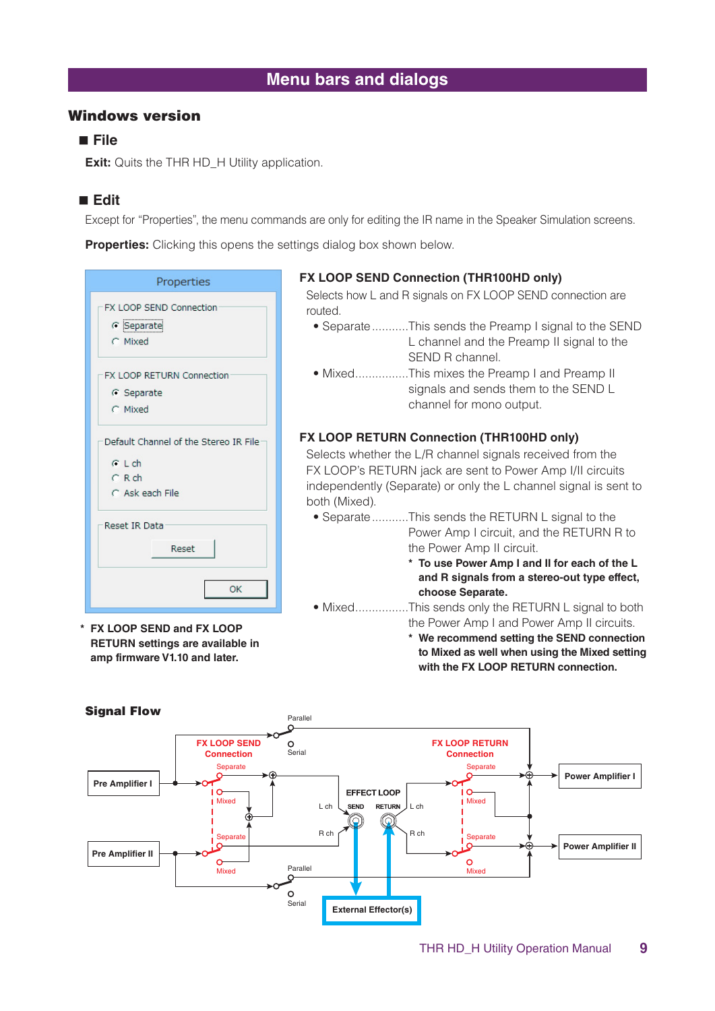## **Menu bars and dialogs**

## **Windows version**

## **File**

**Exit:** Quits the THR HD\_H Utility application.

## **Edit**

Except for "Properties", the menu commands are only for editing the IR name in the Speaker Simulation screens.

**Properties:** Clicking this opens the settings dialog box shown below.

| Properties                                         |  |
|----------------------------------------------------|--|
| FX LOOP SEND Connection<br>$C$ Separate<br>C Mixed |  |
| FX LOOP RETURN Connection                          |  |
| G Separate                                         |  |
| C Mixed                                            |  |
| Default Channel of the Stereo IR File              |  |
| $C$ L ch                                           |  |
| $C$ R ch                                           |  |
| C Ask each File                                    |  |
| Reset IR Data                                      |  |
| Reset                                              |  |
| OK                                                 |  |

**LOOP SEND** and **FX** LOOP **in available are settings RETURN amp firmware V1.10 and later.** 

#### **FX LOOP SEND Connection (THR100HD only)**

Selects how L and R signals on FX LOOP SEND connection are .routed

- Separate ...........This sends the Preamp I signal to the SEND L channel and the Preamp II signal to the SEND R channel.
- Mixed................This mixes the Preamp I and Preamp II signals and sends them to the SEND L channel for mono output.

## **FX LOOP RETURN Connection (THR100HD only)**

Selects whether the L/R channel signals received from the FX LOOP's RETURN jack are sent to Power Amp I/II circuits independently (Separate) or only the L channel signal is sent to both (Mixed).

- Separate ...........This sends the RETURN L signal to the Power Amp I circuit, and the RETURN R to the Power Amp II circuit.
	- \* To use Power Amp I and II for each of the L **and R signals from a stereo-out type effect,** choose Separate.
- Mixed................This sends only the RETURN L signal to both the Power Amp I and Power Amp II circuits.
	- $*$  We recommend setting the SEND connection to Mixed as well when using the Mixed setting **with the FX LOOP RETURN connection.**

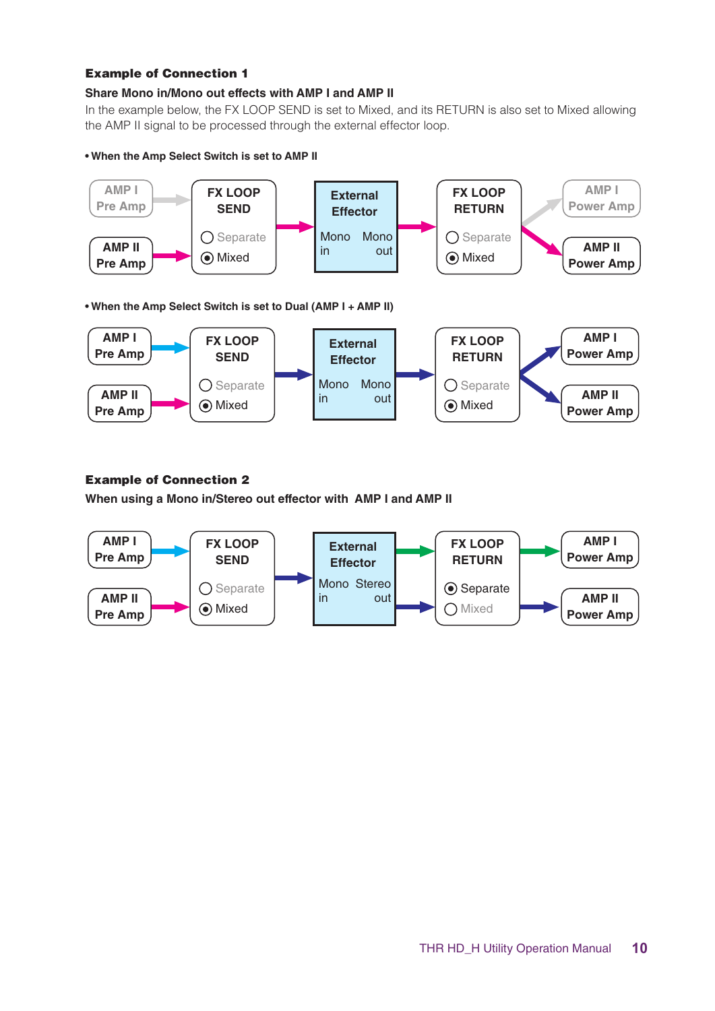#### **Example of Connection 1**

### **Share Mono in/Mono out effects with AMP I and AMP II**

In the example below, the FX LOOP SEND is set to Mixed, and its RETURN is also set to Mixed allowing the AMP II signal to be processed through the external effector loop.

#### $\bullet$  When the Amp Select Switch is set to AMP II





## **Example of Connection 2**

**When using a Mono in/Stereo out effector with AMP I and AMP II** 

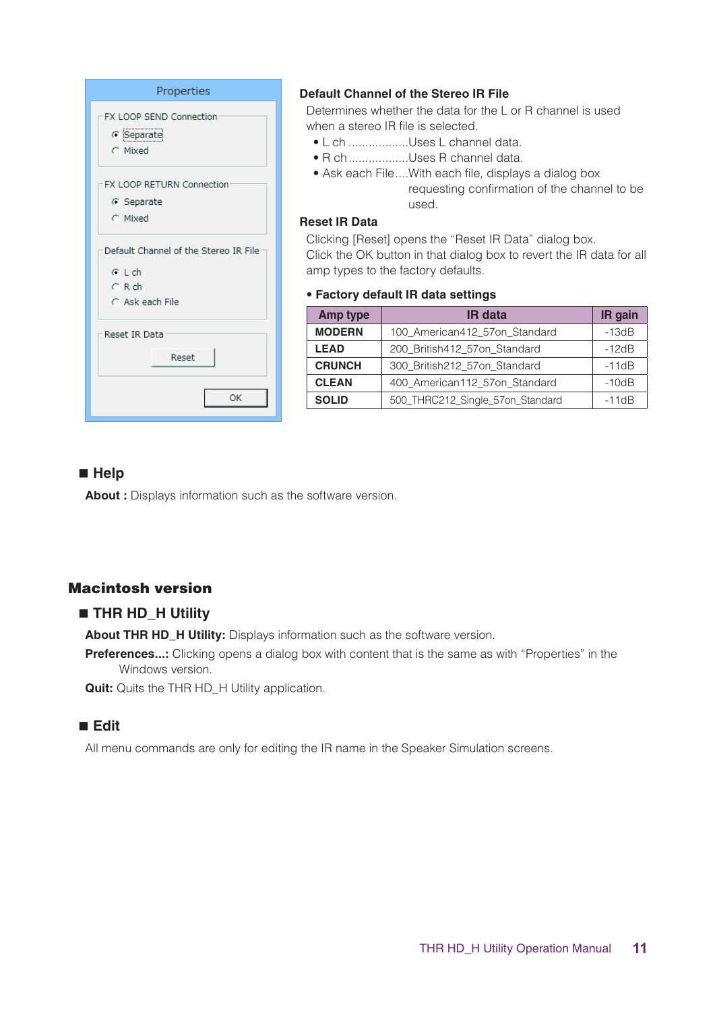| Properties                                                                       |  |  |
|----------------------------------------------------------------------------------|--|--|
| FX LOOP SEND Connection<br>G Separate<br>C Mixed                                 |  |  |
| FX LOOP RETURN Connection<br>G Separate<br>C Mixed                               |  |  |
| Default Channel of the Stereo IR File<br>$C$ L ch<br>$C$ R ch<br>C Ask each File |  |  |
| Reset IR Data<br>Reset                                                           |  |  |
| ОΚ                                                                               |  |  |

## **Default Channel of the Stereo IR File**

Determines whether the data for the L or R channel is used when a stereo IR file is selected.

- L ch ................Uses L channel data.
- R ch .................Uses R channel data.
- Ask each File .... With each file, displays a dialog box requesting confirmation of the channel to be .used

## **Reset IR Data**

Clicking [Reset] opens the "Reset IR Data" dialog box. Click the OK button in that dialog box to revert the IR data for all amp types to the factory defaults.

#### **settings data IR default Factory**•

| Amp type      | <b>IR</b> data                   | IR gain |
|---------------|----------------------------------|---------|
| <b>MODERN</b> | 100_American412_57on_Standard    | $-13dB$ |
| <b>LEAD</b>   | 200 British412 57on Standard     | $-12dB$ |
| <b>CRUNCH</b> | 300 British212 57on Standard     | $-11dB$ |
| <b>CLEAN</b>  | 400 American112 57on Standard    | $-10dB$ |
| <b>SOLID</b>  | 500_THRC212_Single_57on_Standard | $-11dB$ |

## **Help**

About : Displays information such as the software version.

## **Macintosh version**

## $\blacksquare$  **THR HD\_H Utility**

About THR HD\_H Utility: Displays information such as the software version.

**Preferences...:** Clicking opens a dialog box with content that is the same as with "Properties" in the Windows version.

**Quit:** Quits the THR HD\_H Utility application.

## **Edit**

All menu commands are only for editing the IR name in the Speaker Simulation screens.